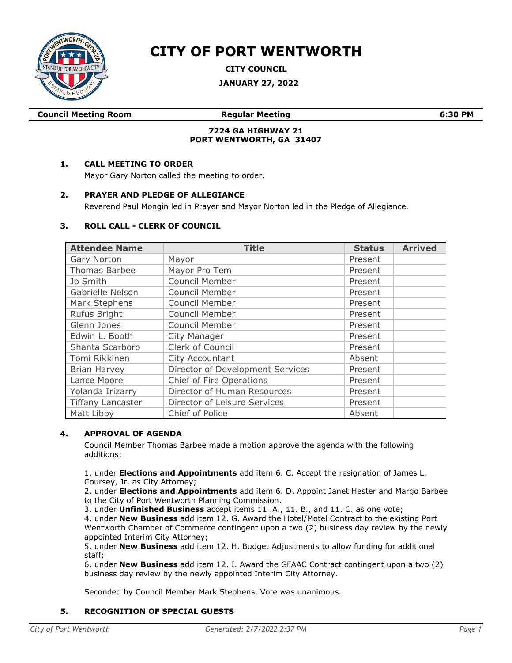

# **CITY OF PORT WENTWORTH**

**CITY COUNCIL**

**JANUARY 27, 2022**

**Council Meeting Room Regular Meeting 6:30 PM**

## **7224 GA HIGHWAY 21 PORT WENTWORTH, GA 31407**

## **1. CALL MEETING TO ORDER**

Mayor Gary Norton called the meeting to order.

#### **2. PRAYER AND PLEDGE OF ALLEGIANCE**

Reverend Paul Mongin led in Prayer and Mayor Norton led in the Pledge of Allegiance.

#### **3. ROLL CALL - CLERK OF COUNCIL**

| <b>Attendee Name</b>     | <b>Title</b>                     | <b>Status</b> | <b>Arrived</b> |
|--------------------------|----------------------------------|---------------|----------------|
| Gary Norton              | Mayor                            | Present       |                |
| Thomas Barbee            | Mayor Pro Tem                    | Present       |                |
| Jo Smith                 | Council Member                   | Present       |                |
| Gabrielle Nelson         | Council Member                   | Present       |                |
| Mark Stephens            | Council Member                   | Present       |                |
| Rufus Bright             | Council Member                   | Present       |                |
| Glenn Jones              | Council Member                   | Present       |                |
| Edwin L. Booth           | City Manager                     | Present       |                |
| Shanta Scarboro          | Clerk of Council                 | Present       |                |
| Tomi Rikkinen            | City Accountant                  | Absent        |                |
| <b>Brian Harvey</b>      | Director of Development Services | Present       |                |
| Lance Moore              | Chief of Fire Operations         | Present       |                |
| Yolanda Irizarry         | Director of Human Resources      | Present       |                |
| <b>Tiffany Lancaster</b> | Director of Leisure Services     | Present       |                |
| Matt Libby               | Chief of Police                  | Absent        |                |

## **4. APPROVAL OF AGENDA**

Council Member Thomas Barbee made a motion approve the agenda with the following additions:

1. under **Elections and Appointments** add item 6. C. Accept the resignation of James L. Coursey, Jr. as City Attorney;

2. under **Elections and Appointments** add item 6. D. Appoint Janet Hester and Margo Barbee to the City of Port Wentworth Planning Commission.

3. under **Unfinished Business** accept items 11 .A., 11. B., and 11. C. as one vote;

4. under **New Business** add item 12. G. Award the Hotel/Motel Contract to the existing Port Wentworth Chamber of Commerce contingent upon a two (2) business day review by the newly appointed Interim City Attorney;

5. under **New Business** add item 12. H. Budget Adjustments to allow funding for additional staff;

6. under **New Business** add item 12. I. Award the GFAAC Contract contingent upon a two (2) business day review by the newly appointed Interim City Attorney.

Seconded by Council Member Mark Stephens. Vote was unanimous.

## **5. RECOGNITION OF SPECIAL GUESTS**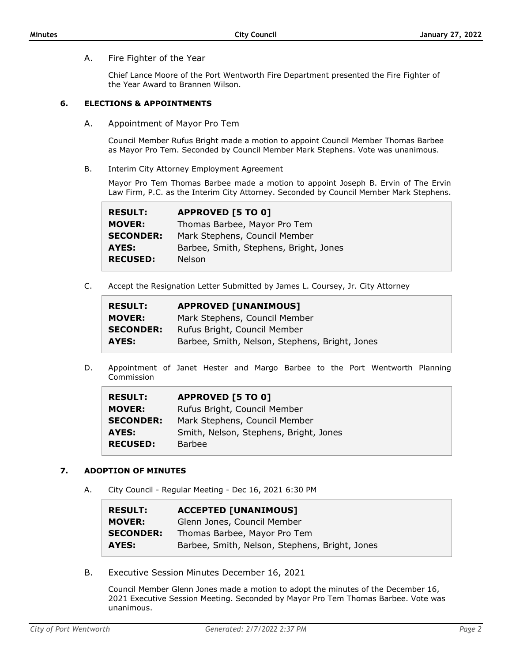A. Fire Fighter of the Year

Chief Lance Moore of the Port Wentworth Fire Department presented the Fire Fighter of the Year Award to Brannen Wilson.

# **6. ELECTIONS & APPOINTMENTS**

A. Appointment of Mayor Pro Tem

Council Member Rufus Bright made a motion to appoint Council Member Thomas Barbee as Mayor Pro Tem. Seconded by Council Member Mark Stephens. Vote was unanimous.

B. Interim City Attorney Employment Agreement

Mayor Pro Tem Thomas Barbee made a motion to appoint Joseph B. Ervin of The Ervin Law Firm, P.C. as the Interim City Attorney. Seconded by Council Member Mark Stephens.

| <b>RESULT:</b>   | <b>APPROVED [5 TO 0]</b>               |
|------------------|----------------------------------------|
| <b>MOVER:</b>    | Thomas Barbee, Mayor Pro Tem           |
| <b>SECONDER:</b> | Mark Stephens, Council Member          |
| AYES:            | Barbee, Smith, Stephens, Bright, Jones |
| <b>RECUSED:</b>  | <b>Nelson</b>                          |

C. Accept the Resignation Letter Submitted by James L. Coursey, Jr. City Attorney

| <b>RESULT:</b>   | <b>APPROVED [UNANIMOUS]</b>                    |
|------------------|------------------------------------------------|
| <b>MOVER:</b>    | Mark Stephens, Council Member                  |
| <b>SECONDER:</b> | Rufus Bright, Council Member                   |
| AYES:            | Barbee, Smith, Nelson, Stephens, Bright, Jones |

D. Appointment of Janet Hester and Margo Barbee to the Port Wentworth Planning Commission

| <b>RESULT:</b>   | <b>APPROVED [5 TO 0]</b>               |
|------------------|----------------------------------------|
| <b>MOVER:</b>    | Rufus Bright, Council Member           |
| <b>SECONDER:</b> | Mark Stephens, Council Member          |
| AYES:            | Smith, Nelson, Stephens, Bright, Jones |
| <b>RECUSED:</b>  | <b>Barbee</b>                          |

# **7. ADOPTION OF MINUTES**

A. City Council - Regular Meeting - Dec 16, 2021 6:30 PM

| <b>RESULT:</b>   | <b>ACCEPTED [UNANIMOUS]</b>                    |
|------------------|------------------------------------------------|
| <b>MOVER:</b>    | Glenn Jones, Council Member                    |
| <b>SECONDER:</b> | Thomas Barbee, Mayor Pro Tem                   |
| AYES:            | Barbee, Smith, Nelson, Stephens, Bright, Jones |

B. Executive Session Minutes December 16, 2021

Council Member Glenn Jones made a motion to adopt the minutes of the December 16, 2021 Executive Session Meeting. Seconded by Mayor Pro Tem Thomas Barbee. Vote was unanimous.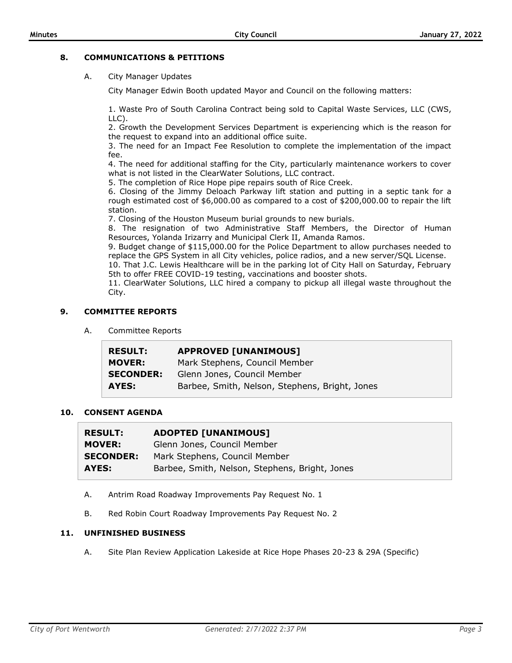## **8. COMMUNICATIONS & PETITIONS**

A. City Manager Updates

City Manager Edwin Booth updated Mayor and Council on the following matters:

1. Waste Pro of South Carolina Contract being sold to Capital Waste Services, LLC (CWS, LLC).

2. Growth the Development Services Department is experiencing which is the reason for the request to expand into an additional office suite.

3. The need for an Impact Fee Resolution to complete the implementation of the impact fee.

4. The need for additional staffing for the City, particularly maintenance workers to cover what is not listed in the ClearWater Solutions, LLC contract.

5. The completion of Rice Hope pipe repairs south of Rice Creek.

6. Closing of the Jimmy Deloach Parkway lift station and putting in a septic tank for a rough estimated cost of \$6,000.00 as compared to a cost of \$200,000.00 to repair the lift station.

7. Closing of the Houston Museum burial grounds to new burials.

8. The resignation of two Administrative Staff Members, the Director of Human Resources, Yolanda Irizarry and Municipal Clerk II, Amanda Ramos.

9. Budget change of \$115,000.00 for the Police Department to allow purchases needed to replace the GPS System in all City vehicles, police radios, and a new server/SQL License.

10. That J.C. Lewis Healthcare will be in the parking lot of City Hall on Saturday, February 5th to offer FREE COVID-19 testing, vaccinations and booster shots.

11. ClearWater Solutions, LLC hired a company to pickup all illegal waste throughout the City.

#### **9. COMMITTEE REPORTS**

A. Committee Reports

| <b>RESULT:</b>   | <b>APPROVED [UNANIMOUS]</b>                    |
|------------------|------------------------------------------------|
| <b>MOVER:</b>    | Mark Stephens, Council Member                  |
| <b>SECONDER:</b> | Glenn Jones, Council Member                    |
| AYES:            | Barbee, Smith, Nelson, Stephens, Bright, Jones |

#### **10. CONSENT AGENDA**

| <b>RESULT:</b>   | <b>ADOPTED [UNANIMOUS]</b>                     |
|------------------|------------------------------------------------|
| <b>MOVER:</b>    | Glenn Jones, Council Member                    |
| <b>SECONDER:</b> | Mark Stephens, Council Member                  |
| AYES:            | Barbee, Smith, Nelson, Stephens, Bright, Jones |

- A. Antrim Road Roadway Improvements Pay Request No. 1
- B. Red Robin Court Roadway Improvements Pay Request No. 2

#### **11. UNFINISHED BUSINESS**

A. Site Plan Review Application Lakeside at Rice Hope Phases 20-23 & 29A (Specific)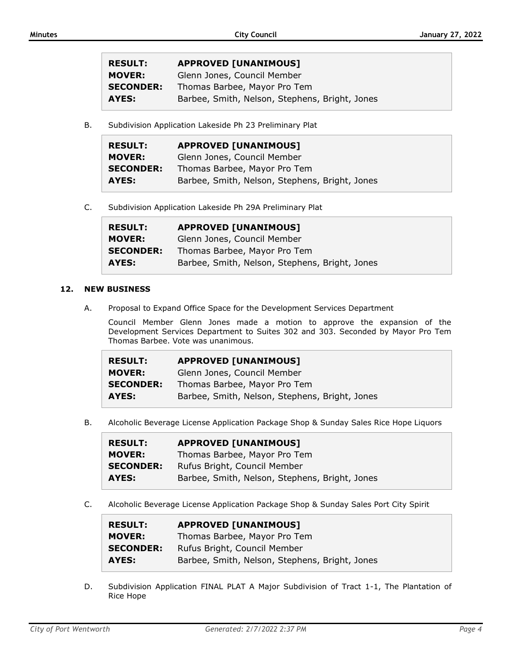| <b>RESULT:</b>   | <b>APPROVED [UNANIMOUS]</b>                    |
|------------------|------------------------------------------------|
| <b>MOVER:</b>    | Glenn Jones, Council Member                    |
| <b>SECONDER:</b> | Thomas Barbee, Mayor Pro Tem                   |
| AYES:            | Barbee, Smith, Nelson, Stephens, Bright, Jones |

B. Subdivision Application Lakeside Ph 23 Preliminary Plat

| <b>RESULT:</b>   | <b>APPROVED [UNANIMOUS]</b>                    |
|------------------|------------------------------------------------|
| <b>MOVER:</b>    | Glenn Jones, Council Member                    |
| <b>SECONDER:</b> | Thomas Barbee, Mayor Pro Tem                   |
| AYES:            | Barbee, Smith, Nelson, Stephens, Bright, Jones |

C. Subdivision Application Lakeside Ph 29A Preliminary Plat

| <b>RESULT:</b>   | <b>APPROVED [UNANIMOUS]</b>                    |
|------------------|------------------------------------------------|
| <b>MOVER:</b>    | Glenn Jones, Council Member                    |
| <b>SECONDER:</b> | Thomas Barbee, Mayor Pro Tem                   |
| AYES:            | Barbee, Smith, Nelson, Stephens, Bright, Jones |

#### **12. NEW BUSINESS**

A. Proposal to Expand Office Space for the Development Services Department

Council Member Glenn Jones made a motion to approve the expansion of the Development Services Department to Suites 302 and 303. Seconded by Mayor Pro Tem Thomas Barbee. Vote was unanimous.

| <b>RESULT:</b>   | <b>APPROVED [UNANIMOUS]</b>                    |
|------------------|------------------------------------------------|
| <b>MOVER:</b>    | Glenn Jones, Council Member                    |
| <b>SECONDER:</b> | Thomas Barbee, Mayor Pro Tem                   |
| AYES:            | Barbee, Smith, Nelson, Stephens, Bright, Jones |

B. Alcoholic Beverage License Application Package Shop & Sunday Sales Rice Hope Liquors

| <b>RESULT:</b>   | <b>APPROVED [UNANIMOUS]</b>                    |
|------------------|------------------------------------------------|
| <b>MOVER:</b>    | Thomas Barbee, Mayor Pro Tem                   |
| <b>SECONDER:</b> | Rufus Bright, Council Member                   |
| AYES:            | Barbee, Smith, Nelson, Stephens, Bright, Jones |

C. Alcoholic Beverage License Application Package Shop & Sunday Sales Port City Spirit

| <b>RESULT:</b>   | <b>APPROVED [UNANIMOUS]</b>                    |
|------------------|------------------------------------------------|
| <b>MOVER:</b>    | Thomas Barbee, Mayor Pro Tem                   |
| <b>SECONDER:</b> | Rufus Bright, Council Member                   |
| AYES:            | Barbee, Smith, Nelson, Stephens, Bright, Jones |

D. Subdivision Application FINAL PLAT A Major Subdivision of Tract 1-1, The Plantation of Rice Hope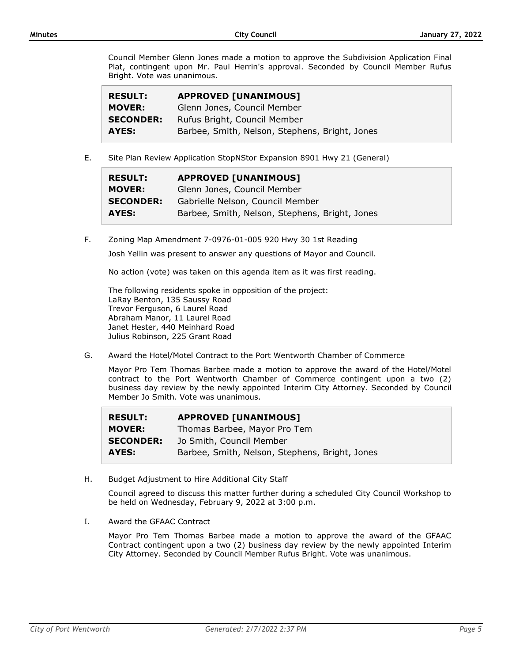Council Member Glenn Jones made a motion to approve the Subdivision Application Final Plat, contingent upon Mr. Paul Herrin's approval. Seconded by Council Member Rufus Bright. Vote was unanimous.

| <b>RESULT:</b>   | <b>APPROVED [UNANIMOUS]</b>                    |
|------------------|------------------------------------------------|
| <b>MOVER:</b>    | Glenn Jones, Council Member                    |
| <b>SECONDER:</b> | Rufus Bright, Council Member                   |
| AYES:            | Barbee, Smith, Nelson, Stephens, Bright, Jones |

E. Site Plan Review Application StopNStor Expansion 8901 Hwy 21 (General)

| <b>RESULT:</b>   | <b>APPROVED [UNANIMOUS]</b>                    |
|------------------|------------------------------------------------|
| <b>MOVER:</b>    | Glenn Jones, Council Member                    |
| <b>SECONDER:</b> | Gabrielle Nelson, Council Member               |
| AYES:            | Barbee, Smith, Nelson, Stephens, Bright, Jones |

F. Zoning Map Amendment 7-0976-01-005 920 Hwy 30 1st Reading

Josh Yellin was present to answer any questions of Mayor and Council.

No action (vote) was taken on this agenda item as it was first reading.

The following residents spoke in opposition of the project: LaRay Benton, 135 Saussy Road Trevor Ferguson, 6 Laurel Road Abraham Manor, 11 Laurel Road Janet Hester, 440 Meinhard Road Julius Robinson, 225 Grant Road

G. Award the Hotel/Motel Contract to the Port Wentworth Chamber of Commerce

Mayor Pro Tem Thomas Barbee made a motion to approve the award of the Hotel/Motel contract to the Port Wentworth Chamber of Commerce contingent upon a two (2) business day review by the newly appointed Interim City Attorney. Seconded by Council Member Jo Smith. Vote was unanimous.

| <b>RESULT:</b>   | <b>APPROVED [UNANIMOUS]</b>                    |
|------------------|------------------------------------------------|
| <b>MOVER:</b>    | Thomas Barbee, Mayor Pro Tem                   |
| <b>SECONDER:</b> | Jo Smith, Council Member                       |
| AYES:            | Barbee, Smith, Nelson, Stephens, Bright, Jones |

H. Budget Adjustment to Hire Additional City Staff

Council agreed to discuss this matter further during a scheduled City Council Workshop to be held on Wednesday, February 9, 2022 at 3:00 p.m.

I. Award the GFAAC Contract

Mayor Pro Tem Thomas Barbee made a motion to approve the award of the GFAAC Contract contingent upon a two (2) business day review by the newly appointed Interim City Attorney. Seconded by Council Member Rufus Bright. Vote was unanimous.